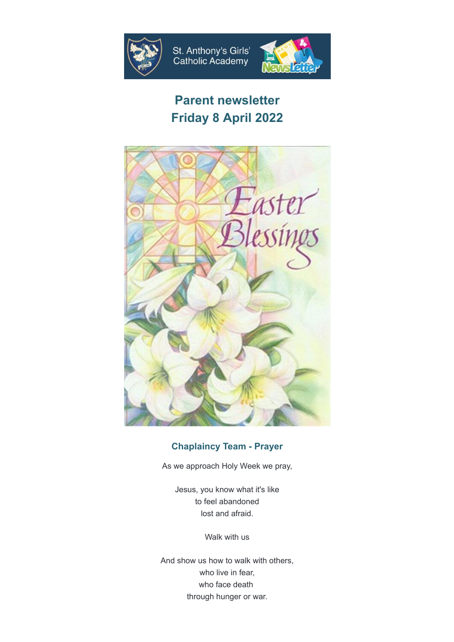



# **Parent newsletter Friday 8 April 2022**



# **Chaplaincy Team - Prayer**

As we approach Holy Week we pray,

Jesus, you know what it's like to feel abandoned lost and afraid.

Walk with us

And show us how to walk with others, who live in fear, who face death through hunger or war.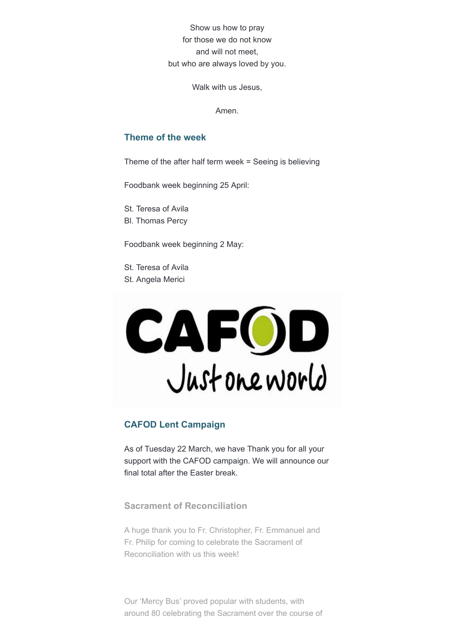Show us how to pray for those we do not know and will not meet, but who are always loved by you.

Walk with us Jesus,

Amen.

#### **Theme of the week**

Theme of the after half term week = Seeing is believing

Foodbank week beginning 25 April:

St. Teresa of Avila Bl. Thomas Percy

Foodbank week beginning 2 May:

St. Teresa of Avila St. Angela Merici



# **CAFOD Lent Campaign**

As of Tuesday 22 March, we have Thank you for all your support with the CAFOD campaign. We will announce our final total after the Easter break.

**Sacrament of Reconciliation**

A huge thank you to Fr. Christopher, Fr. Emmanuel and Fr. Philip for coming to celebrate the Sacrament of Reconciliation with us this week!

Our 'Mercy Bus' proved popular with students, with around 80 celebrating the Sacrament over the course of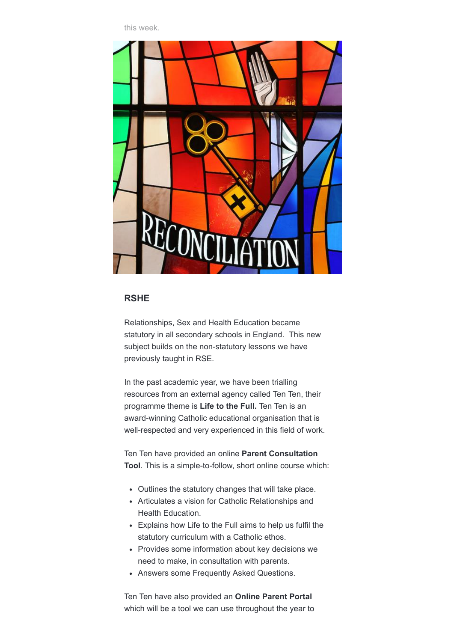this week.



#### **RSHE**

Relationships, Sex and Health Education became statutory in all secondary schools in England. This new subject builds on the non-statutory lessons we have previously taught in RSE.

In the past academic year, we have been trialling resources from an external agency called Ten Ten, their programme theme is **Life to the Full.** Ten Ten is an award-winning Catholic educational organisation that is well-respected and very experienced in this field of work.

Ten Ten have provided an online **Parent Consultation Tool**. This is a simple-to-follow, short online course which:

- Outlines the statutory changes that will take place.
- Articulates a vision for Catholic Relationships and Health Education.
- Explains how Life to the Full aims to help us fulfil the statutory curriculum with a Catholic ethos.
- Provides some information about key decisions we need to make, in consultation with parents.
- Answers some Frequently Asked Questions.

Ten Ten have also provided an **Online Parent Portal** which will be a tool we can use throughout the year to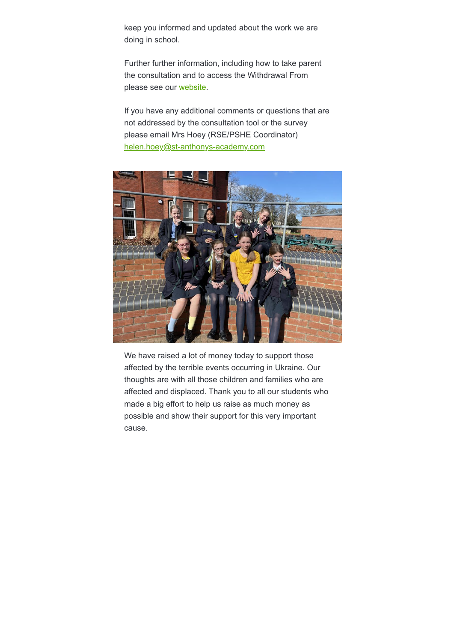keep you informed and updated about the work we are doing in school.

Further further information, including how to take parent the consultation and to access the Withdrawal From please see our [website.](https://stanthonysgirlscatholicacademy.createsend1.com/t/y-l-bituukd-l-y/)

If you have any additional comments or questions that are not addressed by the consultation tool or the survey please email Mrs Hoey (RSE/PSHE Coordinator) [helen.hoey@st-anthonys-academy.com](mailto:helen.hoey@st-anthonys-academy.com)



We have raised a lot of money today to support those affected by the terrible events occurring in Ukraine. Our thoughts are with all those children and families who are affected and displaced. Thank you to all our students who made a big effort to help us raise as much money as possible and show their support for this very important cause.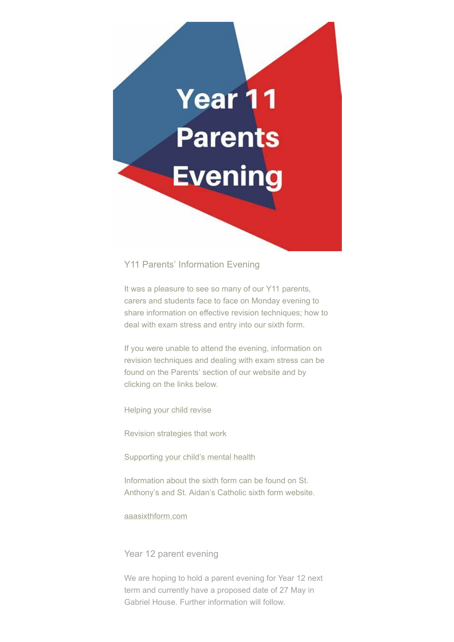

#### Y11 Parents' Information Evening

It was a pleasure to see so many of our Y11 parents, carers and students face to face on Monday evening to share information on effective revision techniques; how to deal with exam stress and entry into our sixth form.

If you were unable to attend the evening, information on revision techniques and dealing with exam stress can be found on the Parents' section of our website and by clicking on the links below.

[Helping your child revise](https://stanthonysgirlscatholicacademy.createsend1.com/t/y-l-bituukd-l-j/)

[Revision strategies that work](https://stanthonysgirlscatholicacademy.createsend1.com/t/y-l-bituukd-l-t/)

[Supporting your child's mental health](https://stanthonysgirlscatholicacademy.createsend1.com/t/y-l-bituukd-l-i/)

Information about the sixth form can be found on St. Anthony's and St. Aidan's Catholic sixth form website.

[aaasixthform.com](https://stanthonysgirlscatholicacademy.createsend1.com/t/y-l-bituukd-l-d/)

Year 12 parent evening

We are hoping to hold a parent evening for Year 12 next term and currently have a proposed date of 27 May in Gabriel House. Further information will follow.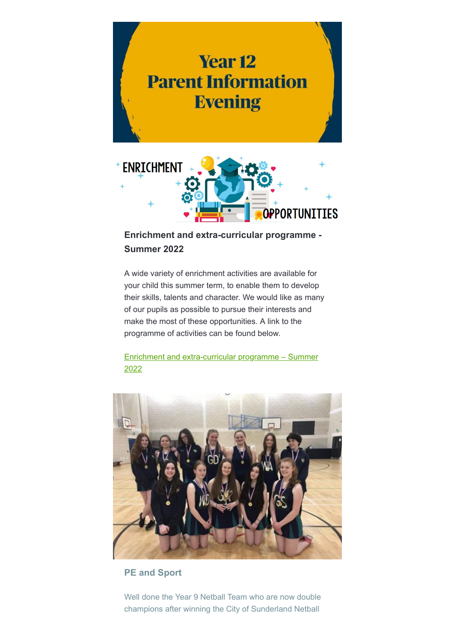



# **Enrichment and extra-curricular programme - Summer 2022**

A wide variety of enrichment activities are available for your child this summer term, to enable them to develop their skills, talents and character. We would like as many of our pupils as possible to pursue their interests and make the most of these opportunities. A link to the programme of activities can be found below.

[Enrichment and extra-curricular programme – Summer](https://stanthonysgirlscatholicacademy.createsend1.com/t/y-l-bituukd-l-h/) 2022



### **PE and Sport**

Well done the Year 9 Netball Team who are now double champions after winning the City of Sunderland Netball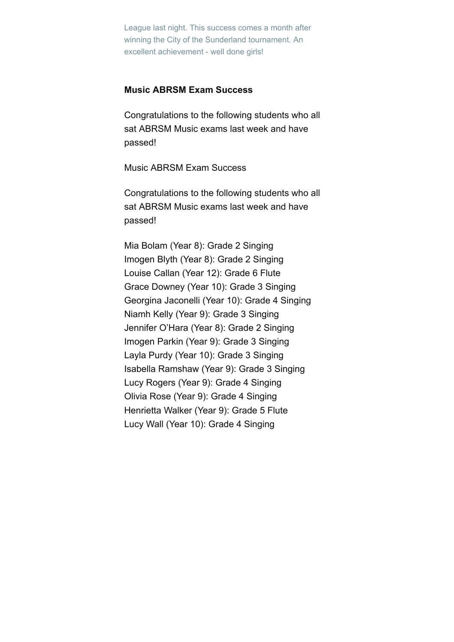League last night. This success comes a month after winning the City of the Sunderland tournament. An excellent achievement - well done girls!

#### **Music ABRSM Exam Success**

Congratulations to the following students who all sat ABRSM Music exams last week and have passed!

Music ABRSM Exam Success

Congratulations to the following students who all sat ABRSM Music exams last week and have passed!

Mia Bolam (Year 8): Grade 2 Singing Imogen Blyth (Year 8): Grade 2 Singing Louise Callan (Year 12): Grade 6 Flute Grace Downey (Year 10): Grade 3 Singing Georgina Jaconelli (Year 10): Grade 4 Singing Niamh Kelly (Year 9): Grade 3 Singing Jennifer O'Hara (Year 8): Grade 2 Singing Imogen Parkin (Year 9): Grade 3 Singing Layla Purdy (Year 10): Grade 3 Singing Isabella Ramshaw (Year 9): Grade 3 Singing Lucy Rogers (Year 9): Grade 4 Singing Olivia Rose (Year 9): Grade 4 Singing Henrietta Walker (Year 9): Grade 5 Flute Lucy Wall (Year 10): Grade 4 Singing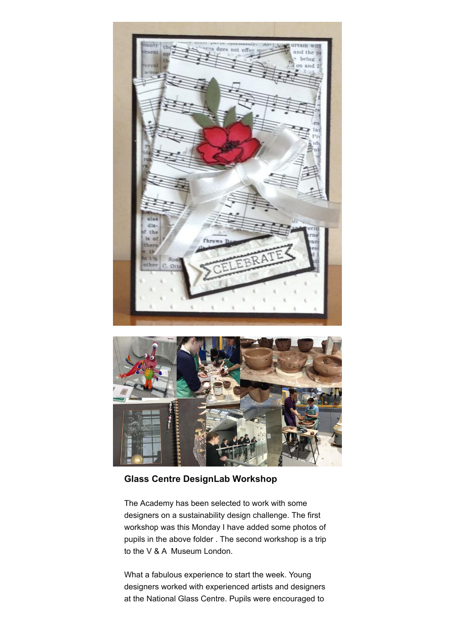



**Glass Centre DesignLab Workshop**

The Academy has been selected to work with some designers on a sustainability design challenge. The first workshop was this Monday I have added some photos of pupils in the above folder . The second workshop is a trip to the V & A Museum London.

What a fabulous experience to start the week. Young designers worked with experienced artists and designers at the National Glass Centre. Pupils were encouraged to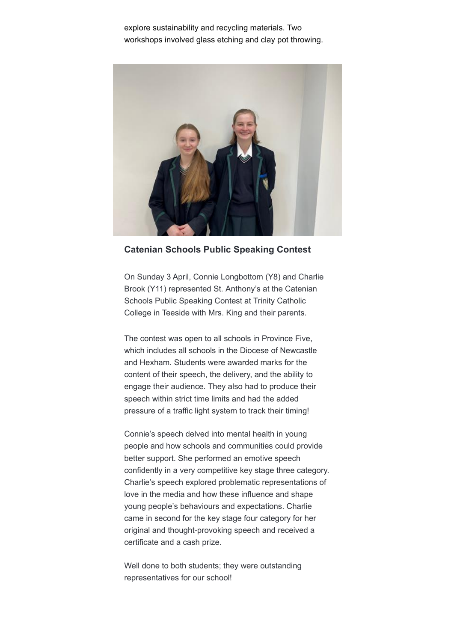explore sustainability and recycling materials. Two workshops involved glass etching and clay pot throwing.



**Catenian Schools Public Speaking Contest**

On Sunday 3 April, Connie Longbottom (Y8) and Charlie Brook (Y11) represented St. Anthony's at the Catenian Schools Public Speaking Contest at Trinity Catholic College in Teeside with Mrs. King and their parents.

The contest was open to all schools in Province Five, which includes all schools in the Diocese of Newcastle and Hexham. Students were awarded marks for the content of their speech, the delivery, and the ability to engage their audience. They also had to produce their speech within strict time limits and had the added pressure of a traffic light system to track their timing!

Connie's speech delved into mental health in young people and how schools and communities could provide better support. She performed an emotive speech confidently in a very competitive key stage three category. Charlie's speech explored problematic representations of love in the media and how these influence and shape young people's behaviours and expectations. Charlie came in second for the key stage four category for her original and thought-provoking speech and received a certificate and a cash prize.

Well done to both students; they were outstanding representatives for our school!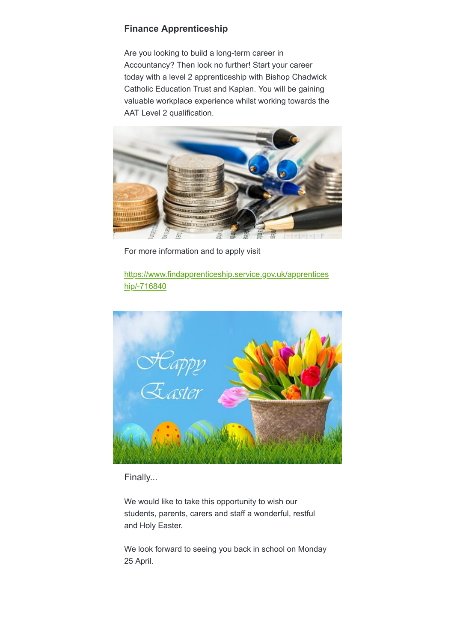#### **Finance Apprenticeship**

Are you looking to build a long-term career in Accountancy? Then look no further! Start your career today with a level 2 apprenticeship with Bishop Chadwick Catholic Education Trust and Kaplan. You will be gaining valuable workplace experience whilst working towards the AAT Level 2 qualification.



For more information and to apply visit

[https://www.findapprenticeship.service.gov.uk/apprentices](https://stanthonysgirlscatholicacademy.createsend1.com/t/y-l-bituukd-l-k/) hip/-716840



Finally...

We would like to take this opportunity to wish our students, parents, carers and staff a wonderful, restful and Holy Easter.

We look forward to seeing you back in school on Monday 25 April.